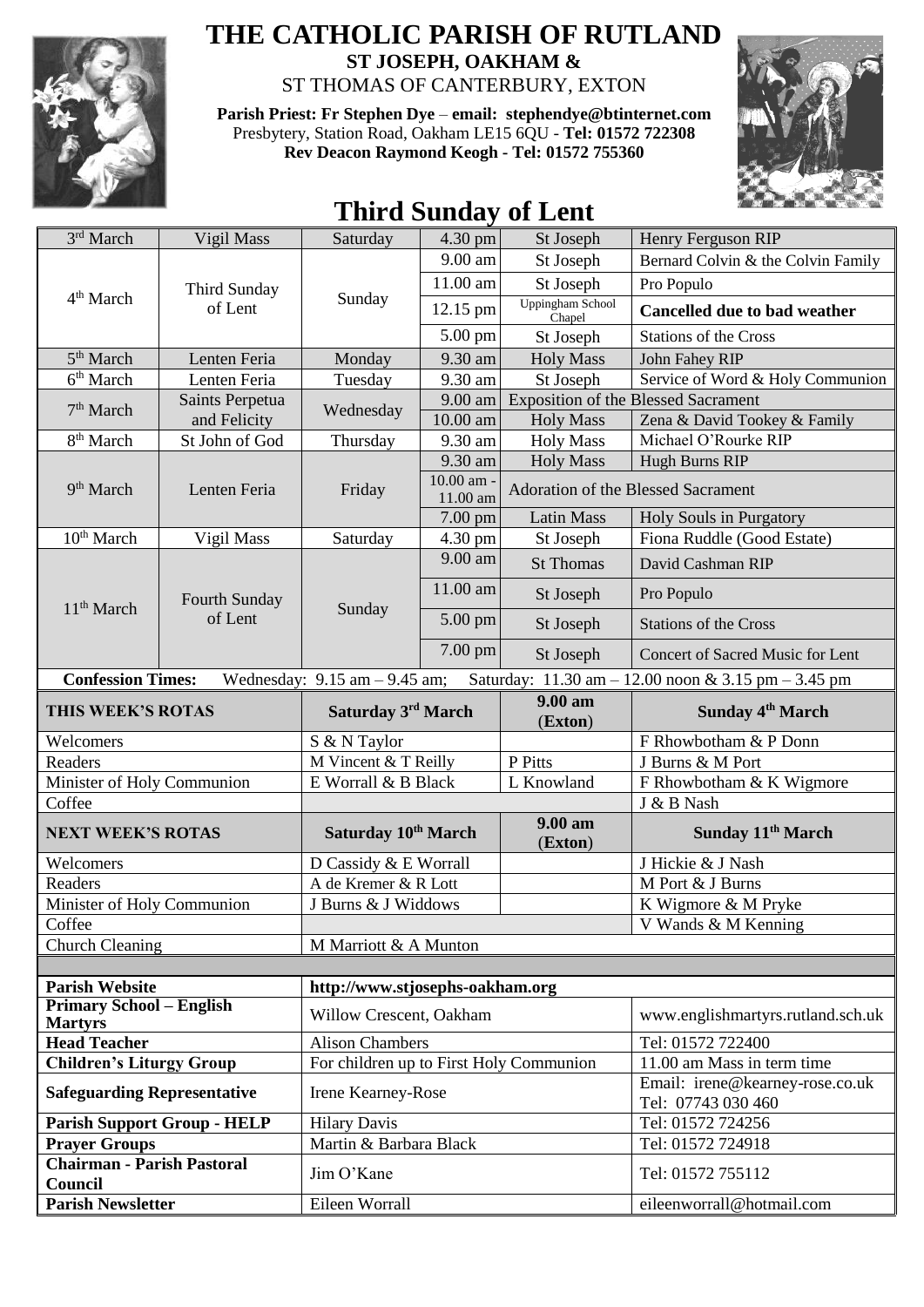

## **THE CATHOLIC PARISH OF RUTLAND ST JOSEPH, OAKHAM &**

ST THOMAS OF CANTERBURY, EXTON

**Parish Priest: Fr Stephen Dye** – **[email: stephendye@btinternet.com](mailto:email:%20%20stephendye@btinternet.com)** Presbytery, Station Road, Oakham LE15 6QU - **Tel: 01572 722308 Rev Deacon Raymond Keogh - Tel: 01572 755360**



## **Third Sunday of Lent**

| 3rd March                                                                                                                                              | Vigil Mass                         | Saturday                                | 4.30 pm                | St Joseph                          | Henry Ferguson RIP                         |
|--------------------------------------------------------------------------------------------------------------------------------------------------------|------------------------------------|-----------------------------------------|------------------------|------------------------------------|--------------------------------------------|
| 4 <sup>th</sup> March                                                                                                                                  | <b>Third Sunday</b><br>of Lent     | Sunday                                  | 9.00 am                | St Joseph                          | Bernard Colvin & the Colvin Family         |
|                                                                                                                                                        |                                    |                                         | 11.00 am               | St Joseph                          | Pro Populo                                 |
|                                                                                                                                                        |                                    |                                         | 12.15 pm               | Uppingham School<br>Chapel         | <b>Cancelled due to bad weather</b>        |
|                                                                                                                                                        |                                    |                                         | 5.00 pm                | St Joseph                          | <b>Stations of the Cross</b>               |
| 5 <sup>th</sup> March                                                                                                                                  | Lenten Feria                       | Monday                                  | 9.30 am                | <b>Holy Mass</b>                   | John Fahey RIP                             |
| 6 <sup>th</sup> March                                                                                                                                  | Lenten Feria                       | Tuesday                                 | 9.30 am                | St Joseph                          | Service of Word & Holy Communion           |
| 7 <sup>th</sup> March                                                                                                                                  | Saints Perpetua<br>and Felicity    | Wednesday                               | 9.00 am                |                                    | <b>Exposition of the Blessed Sacrament</b> |
|                                                                                                                                                        |                                    |                                         | 10.00 am               | <b>Holy Mass</b>                   | Zena & David Tookey & Family               |
| 8 <sup>th</sup> March                                                                                                                                  | St John of God                     | Thursday                                | 9.30 am                | <b>Holy Mass</b>                   | Michael O'Rourke RIP                       |
|                                                                                                                                                        | Lenten Feria                       | Friday                                  | 9.30 am                | <b>Holy Mass</b>                   | Hugh Burns RIP                             |
| 9 <sup>th</sup> March                                                                                                                                  |                                    |                                         | 10.00 am -<br>11.00 am | Adoration of the Blessed Sacrament |                                            |
|                                                                                                                                                        |                                    |                                         | $7.00$ pm              | Latin Mass                         | Holy Souls in Purgatory                    |
| 10 <sup>th</sup> March                                                                                                                                 | Vigil Mass                         | Saturday                                | 4.30 pm                | St Joseph                          | Fiona Ruddle (Good Estate)                 |
|                                                                                                                                                        | Fourth Sunday<br>of Lent           | Sunday                                  | $9.00$ am              | <b>St Thomas</b>                   | David Cashman RIP                          |
| 11 <sup>th</sup> March                                                                                                                                 |                                    |                                         | 11.00 am               | St Joseph                          | Pro Populo                                 |
|                                                                                                                                                        |                                    |                                         | 5.00 pm                | St Joseph                          | <b>Stations of the Cross</b>               |
|                                                                                                                                                        |                                    |                                         | 7.00 pm                | St Joseph                          | Concert of Sacred Music for Lent           |
| <b>Confession Times:</b><br>Saturday: $11.30 \text{ am} - 12.00 \text{ noon} \& 3.15 \text{ pm} - 3.45 \text{ pm}$<br>Wednesday: $9.15$ am $-9.45$ am; |                                    |                                         |                        |                                    |                                            |
| THIS WEEK'S ROTAS                                                                                                                                      |                                    | Saturday 3rd March                      |                        | 9.00 am                            | Sunday 4 <sup>th</sup> March               |
|                                                                                                                                                        |                                    |                                         |                        |                                    |                                            |
| Welcomers                                                                                                                                              |                                    | S & N Taylor                            |                        | (Exton)                            | F Rhowbotham & P Donn                      |
| Readers                                                                                                                                                |                                    | M Vincent & T Reilly                    |                        | P Pitts                            | J Burns & M Port                           |
| Minister of Holy Communion                                                                                                                             |                                    | E Worrall & B Black                     |                        | L Knowland                         | F Rhowbotham & K Wigmore                   |
| Coffee                                                                                                                                                 |                                    |                                         |                        |                                    | J & B Nash                                 |
| <b>NEXT WEEK'S ROTAS</b>                                                                                                                               |                                    | Saturday 10th March                     |                        | 9.00 am<br>(Exton)                 | Sunday 11 <sup>th</sup> March              |
| Welcomers                                                                                                                                              |                                    | D Cassidy & E Worrall                   |                        |                                    | J Hickie & J Nash                          |
| Readers                                                                                                                                                |                                    | A de Kremer & R Lott                    |                        |                                    | M Port & J Burns                           |
| Minister of Holy Communion                                                                                                                             |                                    | J Burns & J Widdows                     |                        |                                    | K Wigmore & M Pryke                        |
| Coffee                                                                                                                                                 |                                    |                                         |                        |                                    | V Wands & M Kenning                        |
| <b>Church Cleaning</b>                                                                                                                                 |                                    | M Marriott & A Munton                   |                        |                                    |                                            |
| <b>Parish Website</b>                                                                                                                                  |                                    | http://www.stjosephs-oakham.org         |                        |                                    |                                            |
| <b>Primary School - English</b><br><b>Martyrs</b>                                                                                                      |                                    | Willow Crescent, Oakham                 |                        |                                    | www.englishmartyrs.rutland.sch.uk          |
| <b>Head Teacher</b>                                                                                                                                    |                                    | <b>Alison Chambers</b>                  |                        |                                    | Tel: 01572 722400                          |
| <b>Children's Liturgy Group</b>                                                                                                                        |                                    | For children up to First Holy Communion |                        |                                    | 11.00 am Mass in term time                 |
| <b>Safeguarding Representative</b>                                                                                                                     |                                    | Irene Kearney-Rose                      |                        |                                    | Email: irene@kearney-rose.co.uk            |
|                                                                                                                                                        | <b>Parish Support Group - HELP</b> | <b>Hilary Davis</b>                     |                        |                                    | Tel: 07743 030 460<br>Tel: 01572 724256    |
| <b>Prayer Groups</b>                                                                                                                                   |                                    | Martin & Barbara Black                  |                        |                                    | Tel: 01572 724918                          |
| <b>Chairman - Parish Pastoral</b>                                                                                                                      |                                    | Jim O'Kane                              |                        |                                    | Tel: 01572 755112                          |
| Council<br><b>Parish Newsletter</b>                                                                                                                    |                                    | Eileen Worrall                          |                        |                                    | eileenworrall@hotmail.com                  |